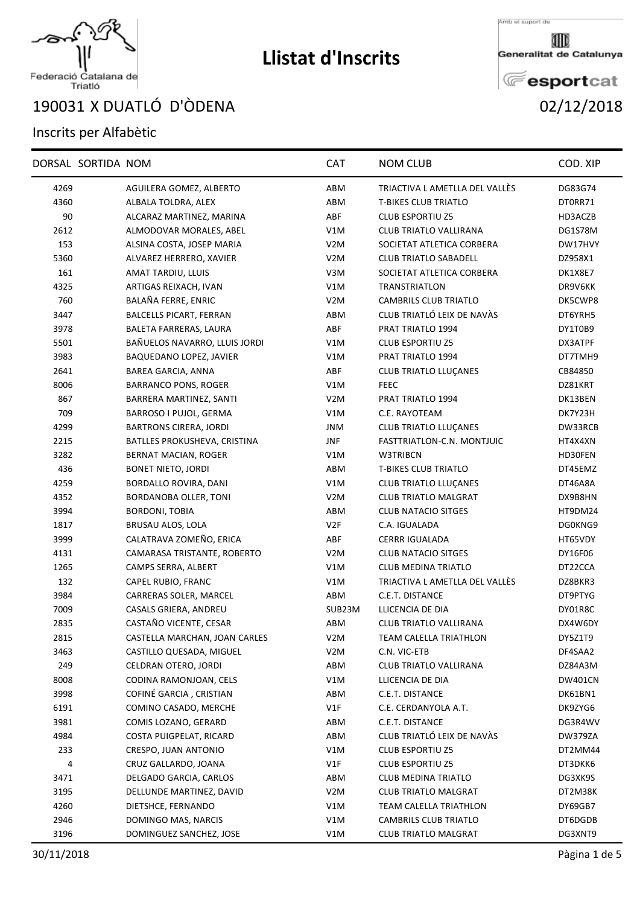

## Federació Catalana de<br>Triatló

## X DUATLÓ D'ÒDENA 02/12/2018

## Inscrits per Alfabètic

|      | DORSAL SORTIDA NOM |                               | <b>CAT</b>       | <b>NOM CLUB</b>                | COD. XIP       |
|------|--------------------|-------------------------------|------------------|--------------------------------|----------------|
| 4269 |                    | AGUILERA GOMEZ, ALBERTO       | ABM              | TRIACTIVA L AMETLLA DEL VALLÉS | DG83G74        |
| 4360 |                    | ALBALA TOLDRA, ALEX           | ABM              | <b>T-BIKES CLUB TRIATLO</b>    | DT0RR71        |
| 90   |                    | ALCARAZ MARTINEZ, MARINA      | ABF              | <b>CLUB ESPORTIU Z5</b>        | HD3ACZB        |
| 2612 |                    | ALMODOVAR MORALES, ABEL       | V1M              | CLUB TRIATLO VALLIRANA         | DG1S78M        |
| 153  |                    | ALSINA COSTA, JOSEP MARIA     | V <sub>2</sub> M | SOCIETAT ATLETICA CORBERA      | DW17HVY        |
| 5360 |                    | ALVAREZ HERRERO, XAVIER       | V <sub>2</sub> M | <b>CLUB TRIATLO SABADELL</b>   | DZ958X1        |
| 161  |                    | AMAT TARDIU, LLUIS            | V3M              | SOCIETAT ATLETICA CORBERA      | DK1X8E7        |
| 4325 |                    | ARTIGAS REIXACH, IVAN         | V1M              | <b>TRANSTRIATLON</b>           | DR9V6KK        |
| 760  |                    | BALAÑA FERRE, ENRIC           | V <sub>2</sub> M | <b>CAMBRILS CLUB TRIATLO</b>   | DK5CWP8        |
| 3447 |                    | BALCELLS PICART, FERRAN       | ABM              | CLUB TRIATLÓ LEIX DE NAVÀS     | DT6YRH5        |
| 3978 |                    | BALETA FARRERAS, LAURA        | ABF              | PRAT TRIATLO 1994              | DY1T0B9        |
| 5501 |                    | BAÑUELOS NAVARRO, LLUIS JORDI | V1M              | <b>CLUB ESPORTIU Z5</b>        | DX3ATPF        |
| 3983 |                    | BAQUEDANO LOPEZ, JAVIER       | V1M              | PRAT TRIATLO 1994              | DT7TMH9        |
| 2641 |                    | BAREA GARCIA, ANNA            | ABF              | <b>CLUB TRIATLO LLUÇANES</b>   | CB84850        |
| 8006 |                    | <b>BARRANCO PONS, ROGER</b>   | V1M              | <b>FEEC</b>                    | DZ81KRT        |
| 867  |                    | BARRERA MARTINEZ, SANTI       | V <sub>2</sub> M | <b>PRAT TRIATLO 1994</b>       | DK13BEN        |
| 709  |                    | BARROSO I PUJOL, GERMA        | V1M              | C.E. RAYOTEAM                  | DK7Y23H        |
| 4299 |                    | <b>BARTRONS CIRERA, JORDI</b> | <b>JNM</b>       | <b>CLUB TRIATLO LLUCANES</b>   | DW33RCB        |
| 2215 |                    | BATLLES PROKUSHEVA, CRISTINA  | JNF              | FASTTRIATLON-C.N. MONTJUIC     | HT4X4XN        |
| 3282 |                    | BERNAT MACIAN, ROGER          | V1M              | W3TRIBCN                       | HD30FEN        |
| 436  |                    | <b>BONET NIETO, JORDI</b>     | ABM              | <b>T-BIKES CLUB TRIATLO</b>    | DT45EMZ        |
| 4259 |                    | BORDALLO ROVIRA, DANI         | V1M              | <b>CLUB TRIATLO LLUÇANES</b>   | DT46A8A        |
| 4352 |                    | BORDANOBA OLLER, TONI         | V <sub>2</sub> M | <b>CLUB TRIATLO MALGRAT</b>    | DX9B8HN        |
| 3994 |                    | <b>BORDONI, TOBIA</b>         | ABM              | <b>CLUB NATACIO SITGES</b>     | HT9DM24        |
| 1817 |                    | BRUSAU ALOS, LOLA             | V <sub>2F</sub>  | C.A. IGUALADA                  | DG0KNG9        |
| 3999 |                    | CALATRAVA ZOMEÑO, ERICA       | ABF              | <b>CERRR IGUALADA</b>          | HT65VDY        |
| 4131 |                    | CAMARASA TRISTANTE, ROBERTO   | V <sub>2</sub> M | <b>CLUB NATACIO SITGES</b>     | DY16F06        |
| 1265 |                    | CAMPS SERRA, ALBERT           | V1M              | <b>CLUB MEDINA TRIATLO</b>     | DT22CCA        |
| 132  |                    | CAPEL RUBIO, FRANC            | V1M              | TRIACTIVA L AMETLLA DEL VALLÉS | DZ8BKR3        |
| 3984 |                    | CARRERAS SOLER, MARCEL        | ABM              | C.E.T. DISTANCE                | DT9PTYG        |
| 7009 |                    | CASALS GRIERA, ANDREU         | SUB23M           | LLICENCIA DE DIA               | DY01R8C        |
| 2835 |                    | CASTAÑO VICENTE, CESAR        | ABM              | CLUB TRIATLO VALLIRANA         | DX4W6DY        |
| 2815 |                    | CASTELLA MARCHAN, JOAN CARLES | V2M              | TEAM CALELLA TRIATHLON         | DY5Z1T9        |
| 3463 |                    | CASTILLO QUESADA, MIGUEL      | V <sub>2</sub> M | C.N. VIC-ETB                   | DF4SAA2        |
| 249  |                    | CELDRAN OTERO, JORDI          | ABM              | CLUB TRIATLO VALLIRANA         | DZ84A3M        |
| 8008 |                    | CODINA RAMONJOAN, CELS        | V1M              | LLICENCIA DE DIA               | <b>DW401CN</b> |
| 3998 |                    | COFINÉ GARCIA, CRISTIAN       | ABM              | C.E.T. DISTANCE                | DK61BN1        |
| 6191 |                    | COMINO CASADO, MERCHE         | V1F              | C.E. CERDANYOLA A.T.           | DK9ZYG6        |
| 3981 |                    | COMIS LOZANO, GERARD          | ABM              | C.E.T. DISTANCE                | DG3R4WV        |
| 4984 |                    | COSTA PUIGPELAT, RICARD       | ABM              | CLUB TRIATLÓ LEIX DE NAVÁS     | DW379ZA        |
| 233  |                    | CRESPO, JUAN ANTONIO          | V1M              | <b>CLUB ESPORTIU Z5</b>        | DT2MM44        |
| 4    |                    | CRUZ GALLARDO, JOANA          | V1F              | <b>CLUB ESPORTIU Z5</b>        | DT3DKK6        |
| 3471 |                    | DELGADO GARCIA, CARLOS        | ABM              | <b>CLUB MEDINA TRIATLO</b>     | DG3XK9S        |
| 3195 |                    | DELLUNDE MARTINEZ, DAVID      | V <sub>2</sub> M | CLUB TRIATLO MALGRAT           | DT2M38K        |
| 4260 |                    | DIETSHCE, FERNANDO            | V1M              | <b>TEAM CALELLA TRIATHLON</b>  | DY69GB7        |
| 2946 |                    | DOMINGO MAS, NARCIS           | V1M              | <b>CAMBRILS CLUB TRIATLO</b>   | DT6DGDB        |
| 3196 |                    | DOMINGUEZ SANCHEZ, JOSE       | V1M              | <b>CLUB TRIATLO MALGRAT</b>    | DG3XNT9        |
|      |                    |                               |                  |                                |                |

**Llistat d'Inscrits**



Generalitat de Catalunya

**E**esportcat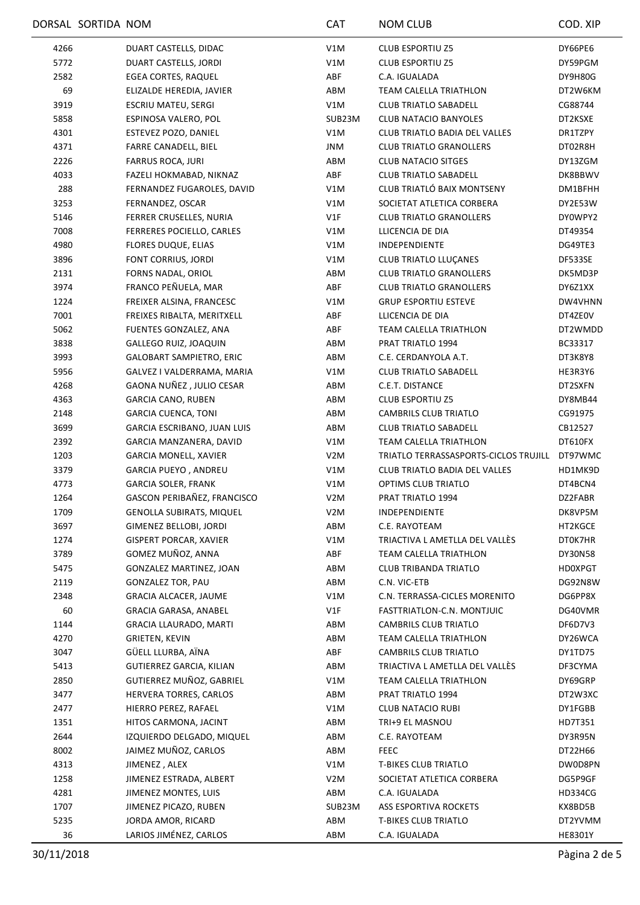|            | DORSAL SORTIDA NOM |                                             | <b>CAT</b>       | <b>NOM CLUB</b>                               | COD. XIP       |
|------------|--------------------|---------------------------------------------|------------------|-----------------------------------------------|----------------|
| 4266       |                    | DUART CASTELLS, DIDAC                       | V1M              | <b>CLUB ESPORTIU Z5</b>                       | DY66PE6        |
| 5772       |                    | DUART CASTELLS, JORDI                       | V1M              | <b>CLUB ESPORTIU Z5</b>                       | DY59PGM        |
| 2582       |                    | EGEA CORTES, RAQUEL                         | ABF              | C.A. IGUALADA                                 | DY9H80G        |
| 69         |                    | ELIZALDE HEREDIA, JAVIER                    | ABM              | TEAM CALELLA TRIATHLON                        | DT2W6KM        |
| 3919       |                    | ESCRIU MATEU, SERGI                         | V1M              | <b>CLUB TRIATLO SABADELL</b>                  | CG88744        |
| 5858       |                    | ESPINOSA VALERO, POL                        | SUB23M           | <b>CLUB NATACIO BANYOLES</b>                  | DT2KSXE        |
| 4301       |                    | ESTEVEZ POZO, DANIEL                        | V1M              | <b>CLUB TRIATLO BADIA DEL VALLES</b>          | DR1TZPY        |
| 4371       |                    | FARRE CANADELL, BIEL                        | JNM              | <b>CLUB TRIATLO GRANOLLERS</b>                | DT02R8H        |
| 2226       |                    | <b>FARRUS ROCA, JURI</b>                    | ABM              | <b>CLUB NATACIO SITGES</b>                    | DY13ZGM        |
| 4033       |                    | FAZELI HOKMABAD, NIKNAZ                     | ABF              | <b>CLUB TRIATLO SABADELL</b>                  | DK8BBWV        |
| 288        |                    | FERNANDEZ FUGAROLES, DAVID                  | V1M              | CLUB TRIATLÓ BAIX MONTSENY                    | DM1BFHH        |
| 3253       |                    | FERNANDEZ, OSCAR                            | V1M              | SOCIETAT ATLETICA CORBERA                     | DY2E53W        |
| 5146       |                    | FERRER CRUSELLES, NURIA                     | V1F              | <b>CLUB TRIATLO GRANOLLERS</b>                | DY0WPY2        |
| 7008       |                    | FERRERES POCIELLO, CARLES                   | V1M              | LLICENCIA DE DIA                              | DT49354        |
| 4980       |                    | <b>FLORES DUQUE, ELIAS</b>                  | V1M              | INDEPENDIENTE                                 | DG49TE3        |
| 3896       |                    | FONT CORRIUS, JORDI                         | V1M              | CLUB TRIATLO LLUÇANES                         | DF533SE        |
| 2131       |                    | FORNS NADAL, ORIOL                          | ABM              | <b>CLUB TRIATLO GRANOLLERS</b>                | DK5MD3P        |
| 3974       |                    | FRANCO PEÑUELA, MAR                         | ABF              | <b>CLUB TRIATLO GRANOLLERS</b>                | DY6Z1XX        |
| 1224       |                    | FREIXER ALSINA, FRANCESC                    | V1M              | <b>GRUP ESPORTIU ESTEVE</b>                   | DW4VHNN        |
| 7001       |                    | FREIXES RIBALTA, MERITXELL                  | ABF              | LLICENCIA DE DIA                              | DT4ZE0V        |
| 5062       |                    | FUENTES GONZALEZ, ANA                       | ABF              | TEAM CALELLA TRIATHLON                        | DT2WMDD        |
| 3838       |                    | GALLEGO RUIZ, JOAQUIN                       | ABM              | PRAT TRIATLO 1994                             | BC33317        |
| 3993       |                    | <b>GALOBART SAMPIETRO, ERIC</b>             | ABM              | C.E. CERDANYOLA A.T.                          | DT3K8Y8        |
| 5956       |                    | GALVEZ I VALDERRAMA, MARIA                  | V1M              | <b>CLUB TRIATLO SABADELL</b>                  | HE3R3Y6        |
| 4268       |                    | GAONA NUÑEZ, JULIO CESAR                    | ABM              | C.E.T. DISTANCE                               | DT2SXFN        |
| 4363       |                    | <b>GARCIA CANO, RUBEN</b>                   | ABM              | <b>CLUB ESPORTIU Z5</b>                       | DY8MB44        |
| 2148       |                    | <b>GARCIA CUENCA, TONI</b>                  | ABM              | CAMBRILS CLUB TRIATLO                         | CG91975        |
| 3699       |                    | GARCIA ESCRIBANO, JUAN LUIS                 | ABM              | <b>CLUB TRIATLO SABADELL</b>                  | CB12527        |
| 2392       |                    | GARCIA MANZANERA, DAVID                     | V1M              | TEAM CALELLA TRIATHLON                        | DT610FX        |
| 1203       |                    | <b>GARCIA MONELL, XAVIER</b>                | V <sub>2</sub> M | TRIATLO TERRASSASPORTS-CICLOS TRUJILL DT97WMC |                |
| 3379       |                    | <b>GARCIA PUEYO, ANDREU</b>                 | V1M              | <b>CLUB TRIATLO BADIA DEL VALLES</b>          | HD1MK9D        |
| 4773       |                    | <b>GARCIA SOLER, FRANK</b>                  | V1M              | OPTIMS CLUB TRIATLO                           | DT4BCN4        |
| 1264       |                    | GASCON PERIBAÑEZ, FRANCISCO                 | V2M              | <b>PRAT TRIATLO 1994</b>                      | DZ2FABR        |
| 1709       |                    | <b>GENOLLA SUBIRATS, MIQUEL</b>             | V <sub>2</sub> M | INDEPENDIENTE                                 | DK8VP5M        |
| 3697       |                    | GIMENEZ BELLOBI, JORDI                      | ABM              | C.E. RAYOTEAM                                 | HT2KGCE        |
| 1274       |                    | <b>GISPERT PORCAR, XAVIER</b>               | V1M              | TRIACTIVA L AMETLLA DEL VALLÈS                | DT0K7HR        |
| 3789       |                    | GOMEZ MUÑOZ, ANNA                           | ABF              | TEAM CALELLA TRIATHLON                        | DY30N58        |
| 5475       |                    | GONZALEZ MARTINEZ, JOAN                     | ABM              | CLUB TRIBANDA TRIATLO                         | <b>HD0XPGT</b> |
| 2119       |                    | GONZALEZ TOR, PAU                           | ABM              | C.N. VIC-ETB                                  | DG92N8W        |
| 2348       |                    | <b>GRACIA ALCACER, JAUME</b>                | V1M              | C.N. TERRASSA-CICLES MORENITO                 | DG6PP8X        |
|            |                    | GRACIA GARASA, ANABEL                       | V1F              | FASTTRIATLON-C.N. MONTJUIC                    | DG40VMR        |
| 60<br>1144 |                    | GRACIA LLAURADO, MARTI                      | ABM              | CAMBRILS CLUB TRIATLO                         | DF6D7V3        |
| 4270       |                    |                                             | ABM              | TEAM CALELLA TRIATHLON                        |                |
|            |                    | <b>GRIETEN, KEVIN</b><br>GÜELL LLURBA, AÏNA | ABF              | CAMBRILS CLUB TRIATLO                         | DY26WCA        |
| 3047       |                    |                                             |                  |                                               | DY1TD75        |
| 5413       |                    | GUTIERREZ GARCIA, KILIAN                    | ABM              | TRIACTIVA L AMETLLA DEL VALLÈS                | DF3CYMA        |
| 2850       |                    | GUTIERREZ MUÑOZ, GABRIEL                    | V1M              | TEAM CALELLA TRIATHLON                        | DY69GRP        |
| 3477       |                    | HERVERA TORRES, CARLOS                      | ABM              | PRAT TRIATLO 1994                             | DT2W3XC        |
| 2477       |                    | HIERRO PEREZ, RAFAEL                        | V1M              | <b>CLUB NATACIO RUBI</b>                      | DY1FGBB        |
| 1351       |                    | HITOS CARMONA, JACINT                       | ABM              | TRI+9 EL MASNOU                               | HD7T351        |
| 2644       |                    | IZQUIERDO DELGADO, MIQUEL                   | ABM              | C.E. RAYOTEAM                                 | DY3R95N        |
| 8002       |                    | JAIMEZ MUÑOZ, CARLOS                        | ABM              | <b>FEEC</b>                                   | DT22H66        |
| 4313       |                    | JIMENEZ, ALEX                               | V1M              | <b>T-BIKES CLUB TRIATLO</b>                   | DW0D8PN        |
| 1258       |                    | JIMENEZ ESTRADA, ALBERT                     | V <sub>2</sub> M | SOCIETAT ATLETICA CORBERA                     | DG5P9GF        |
| 4281       |                    | JIMENEZ MONTES, LUIS                        | ABM              | C.A. IGUALADA                                 | HD334CG        |
| 1707       |                    | JIMENEZ PICAZO, RUBEN                       | SUB23M           | ASS ESPORTIVA ROCKETS                         | KX8BD5B        |
| 5235       |                    | JORDA AMOR, RICARD                          | ABM              | <b>T-BIKES CLUB TRIATLO</b>                   | DT2YVMM        |
| 36         |                    | LARIOS JIMÉNEZ, CARLOS                      | ABM              | C.A. IGUALADA                                 | <b>HE8301Y</b> |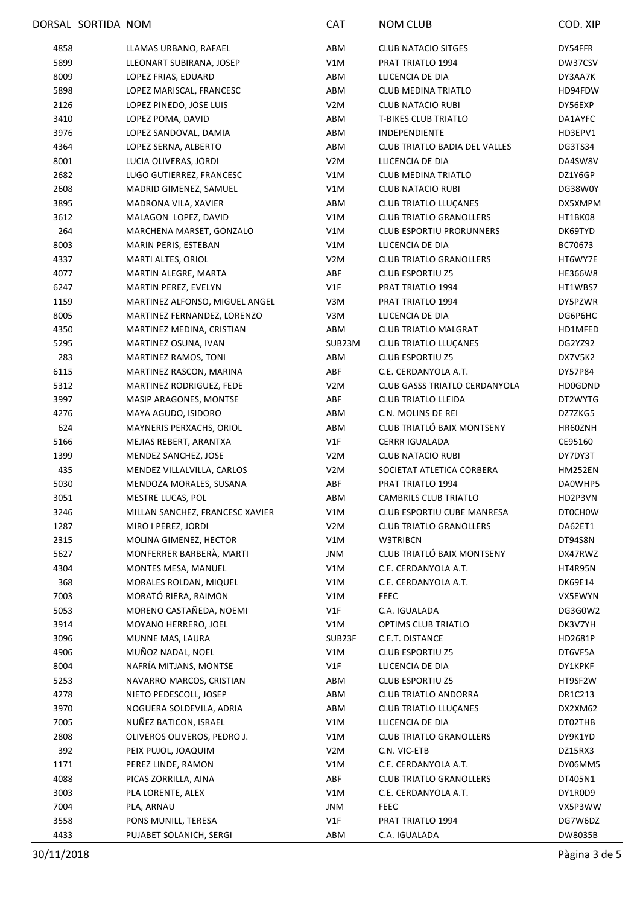|             | DORSAL SORTIDA NOM |                                 | <b>CAT</b>       | <b>NOM CLUB</b>                      | COD. XIP       |
|-------------|--------------------|---------------------------------|------------------|--------------------------------------|----------------|
| 4858        |                    | LLAMAS URBANO, RAFAEL           | ABM              | CLUB NATACIO SITGES                  | DY54FFR        |
| 5899        |                    | LLEONART SUBIRANA, JOSEP        | V1M              | PRAT TRIATLO 1994                    | DW37CSV        |
| 8009        |                    | LOPEZ FRIAS, EDUARD             | ABM              | LLICENCIA DE DIA                     | DY3AA7K        |
| 5898        |                    | LOPEZ MARISCAL, FRANCESC        | ABM              | <b>CLUB MEDINA TRIATLO</b>           | HD94FDW        |
| 2126        |                    | LOPEZ PINEDO, JOSE LUIS         | V <sub>2</sub> M | <b>CLUB NATACIO RUBI</b>             | DY56EXP        |
| 3410        |                    | LOPEZ POMA, DAVID               | ABM              | <b>T-BIKES CLUB TRIATLO</b>          | DA1AYFC        |
| 3976        |                    | LOPEZ SANDOVAL, DAMIA           | ABM              | INDEPENDIENTE                        | HD3EPV1        |
| 4364        |                    | LOPEZ SERNA, ALBERTO            | ABM              | <b>CLUB TRIATLO BADIA DEL VALLES</b> | DG3TS34        |
| 8001        |                    | LUCIA OLIVERAS, JORDI           | V <sub>2</sub> M | LLICENCIA DE DIA                     | DA4SW8V        |
| 2682        |                    | LUGO GUTIERREZ, FRANCESC        | V1M              | <b>CLUB MEDINA TRIATLO</b>           | DZ1Y6GP        |
| 2608        |                    | MADRID GIMENEZ, SAMUEL          | V1M              | <b>CLUB NATACIO RUBI</b>             | DG38W0Y        |
| 3895        |                    | MADRONA VILA, XAVIER            | ABM              | <b>CLUB TRIATLO LLUÇANES</b>         | DX5XMPM        |
| 3612        |                    | MALAGON LOPEZ, DAVID            | V1M              | <b>CLUB TRIATLO GRANOLLERS</b>       | HT1BK08        |
| 264         |                    | MARCHENA MARSET, GONZALO        | V1M              | <b>CLUB ESPORTIU PRORUNNERS</b>      | DK69TYD        |
| 8003        |                    | MARIN PERIS, ESTEBAN            | V1M              | LLICENCIA DE DIA                     | BC70673        |
| 4337        |                    | MARTI ALTES, ORIOL              | V <sub>2</sub> M | <b>CLUB TRIATLO GRANOLLERS</b>       | HT6WY7E        |
| 4077        |                    | MARTIN ALEGRE, MARTA            | ABF              | <b>CLUB ESPORTIU Z5</b>              | HE366W8        |
| 6247        |                    | MARTIN PEREZ, EVELYN            | V1F              | PRAT TRIATLO 1994                    | HT1WBS7        |
| 1159        |                    | MARTINEZ ALFONSO, MIGUEL ANGEL  | V3M              | PRAT TRIATLO 1994                    | DY5PZWR        |
| 8005        |                    | MARTINEZ FERNANDEZ, LORENZO     | V3M              | LLICENCIA DE DIA                     | DG6P6HC        |
| 4350        |                    | MARTINEZ MEDINA, CRISTIAN       | ABM              | CLUB TRIATLO MALGRAT                 |                |
|             |                    | MARTINEZ OSUNA, IVAN            | SUB23M           | <b>CLUB TRIATLO LLUÇANES</b>         | HD1MFED        |
| 5295<br>283 |                    |                                 | ABM              | <b>CLUB ESPORTIU Z5</b>              | DG2YZ92        |
|             |                    | MARTINEZ RAMOS, TONI            |                  |                                      | DX7V5K2        |
| 6115        |                    | MARTINEZ RASCON, MARINA         | ABF              | C.E. CERDANYOLA A.T.                 | DY57P84        |
| 5312        |                    | MARTINEZ RODRIGUEZ, FEDE        | V <sub>2</sub> M | <b>CLUB GASSS TRIATLO CERDANYOLA</b> | <b>HD0GDND</b> |
| 3997        |                    | MASIP ARAGONES, MONTSE          | ABF              | <b>CLUB TRIATLO LLEIDA</b>           | DT2WYTG        |
| 4276        |                    | MAYA AGUDO, ISIDORO             | ABM              | C.N. MOLINS DE REI                   | DZ7ZKG5        |
| 624         |                    | MAYNERIS PERXACHS, ORIOL        | ABM              | CLUB TRIATLÓ BAIX MONTSENY           | HR60ZNH        |
| 5166        |                    | MEJIAS REBERT, ARANTXA          | V1F              | <b>CERRR IGUALADA</b>                | CE95160        |
| 1399        |                    | MENDEZ SANCHEZ, JOSE            | V2M              | CLUB NATACIO RUBI                    | DY7DY3T        |
| 435         |                    | MENDEZ VILLALVILLA, CARLOS      | V <sub>2</sub> M | SOCIETAT ATLETICA CORBERA            | HM252EN        |
| 5030        |                    | MENDOZA MORALES, SUSANA         | ABF              | PRAT TRIATLO 1994                    | DA0WHP5        |
| 3051        |                    | MESTRE LUCAS, POL               | ABM              | CAMBRILS CLUB TRIATLO                | HD2P3VN        |
| 3246        |                    | MILLAN SANCHEZ, FRANCESC XAVIER | V1M              | CLUB ESPORTIU CUBE MANRESA           | DT0CH0W        |
| 1287        |                    | MIRO I PEREZ, JORDI             | V <sub>2</sub> M | <b>CLUB TRIATLO GRANOLLERS</b>       | DA62ET1        |
| 2315        |                    | MOLINA GIMENEZ, HECTOR          | V1M              | W3TRIBCN                             | DT94S8N        |
| 5627        |                    | MONFERRER BARBERÀ, MARTI        | JNM              | CLUB TRIATLÓ BAIX MONTSENY           | DX47RWZ        |
| 4304        |                    | MONTES MESA, MANUEL             | V1M              | C.E. CERDANYOLA A.T.                 | HT4R95N        |
| 368         |                    | MORALES ROLDAN, MIQUEL          | V1M              | C.E. CERDANYOLA A.T.                 | DK69E14        |
| 7003        |                    | MORATÓ RIERA, RAIMON            | V1M              | <b>FEEC</b>                          | VX5EWYN        |
| 5053        |                    | MORENO CASTAÑEDA, NOEMI         | V1F              | C.A. IGUALADA                        | DG3G0W2        |
| 3914        |                    | MOYANO HERRERO, JOEL            | V1M              | OPTIMS CLUB TRIATLO                  | DK3V7YH        |
| 3096        |                    | MUNNE MAS, LAURA                | SUB23F           | C.E.T. DISTANCE                      | HD2681P        |
| 4906        |                    | MUÑOZ NADAL, NOEL               | V1M              | <b>CLUB ESPORTIU Z5</b>              | DT6VF5A        |
| 8004        |                    | NAFRÍA MITJANS, MONTSE          | V1F              | LLICENCIA DE DIA                     | DY1KPKF        |
| 5253        |                    | NAVARRO MARCOS, CRISTIAN        | ABM              | <b>CLUB ESPORTIU Z5</b>              | HT9SF2W        |
| 4278        |                    | NIETO PEDESCOLL, JOSEP          | ABM              | <b>CLUB TRIATLO ANDORRA</b>          | DR1C213        |
| 3970        |                    | NOGUERA SOLDEVILA, ADRIA        | ABM              | <b>CLUB TRIATLO LLUÇANES</b>         | DX2XM62        |
| 7005        |                    | NUÑEZ BATICON, ISRAEL           | V1M              | LLICENCIA DE DIA                     | DT02THB        |
| 2808        |                    | OLIVEROS OLIVEROS, PEDRO J.     | V1M              | <b>CLUB TRIATLO GRANOLLERS</b>       | DY9K1YD        |
| 392         |                    | PEIX PUJOL, JOAQUIM             | V2M              | C.N. VIC-ETB                         | DZ15RX3        |
| 1171        |                    | PEREZ LINDE, RAMON              | V1M              | C.E. CERDANYOLA A.T.                 | DY06MM5        |
| 4088        |                    | PICAS ZORRILLA, AINA            | ABF              | <b>CLUB TRIATLO GRANOLLERS</b>       | DT405N1        |
| 3003        |                    | PLA LORENTE, ALEX               | V1M              | C.E. CERDANYOLA A.T.                 | DY1ROD9        |
| 7004        |                    | PLA, ARNAU                      | <b>JNM</b>       | <b>FEEC</b>                          | VX5P3WW        |
| 3558        |                    | PONS MUNILL, TERESA             | V1F              | PRAT TRIATLO 1994                    | DG7W6DZ        |
| 4433        |                    | PUJABET SOLANICH, SERGI         | ABM              | C.A. IGUALADA                        | DW8035B        |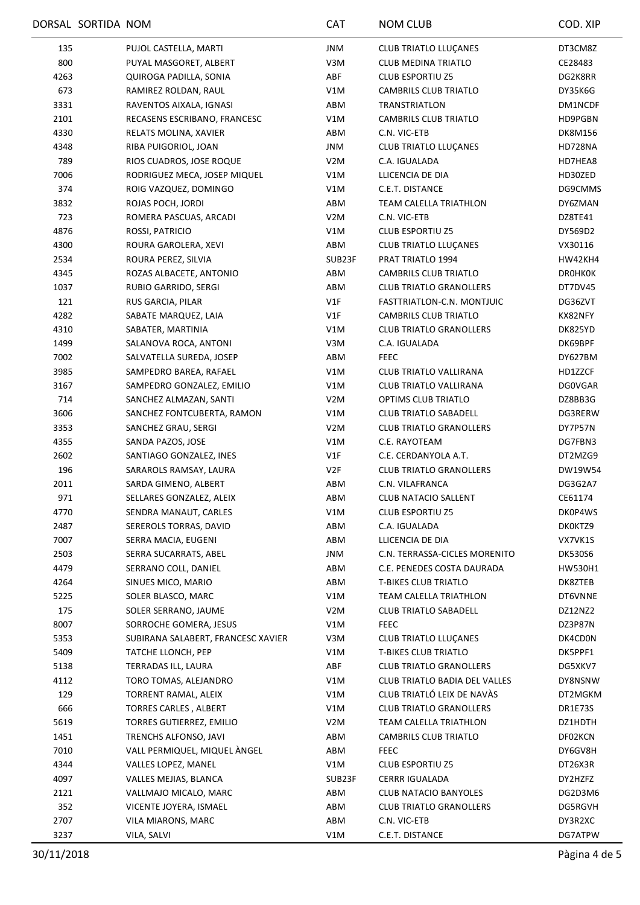|      | DORSAL SORTIDA NOM |                                    | <b>CAT</b>       | <b>NOM CLUB</b>                | COD. XIP       |
|------|--------------------|------------------------------------|------------------|--------------------------------|----------------|
| 135  |                    | PUJOL CASTELLA, MARTI              | <b>JNM</b>       | CLUB TRIATLO LLUÇANES          | DT3CM8Z        |
| 800  |                    | PUYAL MASGORET, ALBERT             | V3M              | <b>CLUB MEDINA TRIATLO</b>     | CE28483        |
| 4263 |                    | QUIROGA PADILLA, SONIA             | ABF              | <b>CLUB ESPORTIU Z5</b>        | DG2K8RR        |
| 673  |                    | RAMIREZ ROLDAN, RAUL               | V1M              | CAMBRILS CLUB TRIATLO          | DY35K6G        |
| 3331 |                    | RAVENTOS AIXALA, IGNASI            | ABM              | <b>TRANSTRIATLON</b>           | DM1NCDF        |
| 2101 |                    | RECASENS ESCRIBANO, FRANCESC       | V1M              | CAMBRILS CLUB TRIATLO          | HD9PGBN        |
| 4330 |                    | RELATS MOLINA, XAVIER              | ABM              | C.N. VIC-ETB                   | DK8M156        |
| 4348 |                    | RIBA PUIGORIOL, JOAN               | JNM              | <b>CLUB TRIATLO LLUCANES</b>   | HD728NA        |
| 789  |                    | RIOS CUADROS, JOSE ROQUE           | V <sub>2</sub> M | C.A. IGUALADA                  | HD7HEA8        |
| 7006 |                    | RODRIGUEZ MECA, JOSEP MIQUEL       | V1M              | LLICENCIA DE DIA               | HD30ZED        |
| 374  |                    | ROIG VAZQUEZ, DOMINGO              | V1M              | C.E.T. DISTANCE                | DG9CMMS        |
| 3832 |                    | ROJAS POCH, JORDI                  | ABM              | TEAM CALELLA TRIATHLON         | DY6ZMAN        |
| 723  |                    | ROMERA PASCUAS, ARCADI             | V <sub>2</sub> M | C.N. VIC-ETB                   | DZ8TE41        |
| 4876 |                    | ROSSI, PATRICIO                    | V1M              | <b>CLUB ESPORTIU Z5</b>        | DY569D2        |
| 4300 |                    | ROURA GAROLERA, XEVI               | ABM              | CLUB TRIATLO LLUÇANES          | VX30116        |
| 2534 |                    | ROURA PEREZ, SILVIA                | SUB23F           | PRAT TRIATLO 1994              | HW42KH4        |
| 4345 |                    | ROZAS ALBACETE, ANTONIO            | ABM              | CAMBRILS CLUB TRIATLO          | DROHKOK        |
| 1037 |                    | RUBIO GARRIDO, SERGI               | ABM              | <b>CLUB TRIATLO GRANOLLERS</b> | DT7DV45        |
| 121  |                    | RUS GARCIA, PILAR                  | V1F              | FASTTRIATLON-C.N. MONTJUIC     | DG36ZVT        |
| 4282 |                    | SABATE MARQUEZ, LAIA               | V1F              | CAMBRILS CLUB TRIATLO          | KX82NFY        |
| 4310 |                    | SABATER, MARTINIA                  | V1M              | <b>CLUB TRIATLO GRANOLLERS</b> | DK825YD        |
| 1499 |                    | SALANOVA ROCA, ANTONI              | V3M              | C.A. IGUALADA                  | DK69BPF        |
| 7002 |                    | SALVATELLA SUREDA, JOSEP           | ABM              | <b>FEEC</b>                    | DY627BM        |
| 3985 |                    | SAMPEDRO BAREA, RAFAEL             | V1M              | CLUB TRIATLO VALLIRANA         | HD1ZZCF        |
| 3167 |                    | SAMPEDRO GONZALEZ, EMILIO          | V1M              | CLUB TRIATLO VALLIRANA         | <b>DG0VGAR</b> |
| 714  |                    | SANCHEZ ALMAZAN, SANTI             | V <sub>2</sub> M | OPTIMS CLUB TRIATLO            | DZ8BB3G        |
| 3606 |                    | SANCHEZ FONTCUBERTA, RAMON         | V1M              | <b>CLUB TRIATLO SABADELL</b>   | DG3RERW        |
| 3353 |                    | SANCHEZ GRAU, SERGI                | V <sub>2</sub> M | <b>CLUB TRIATLO GRANOLLERS</b> | DY7P57N        |
| 4355 |                    | SANDA PAZOS, JOSE                  | V1M              | C.E. RAYOTEAM                  | DG7FBN3        |
| 2602 |                    | SANTIAGO GONZALEZ, INES            | V1F              | C.E. CERDANYOLA A.T.           | DT2MZG9        |
| 196  |                    | SARAROLS RAMSAY, LAURA             | V2F              | <b>CLUB TRIATLO GRANOLLERS</b> | DW19W54        |
| 2011 |                    | SARDA GIMENO, ALBERT               | ABM              | C.N. VILAFRANCA                | DG3G2A7        |
| 971  |                    | SELLARES GONZALEZ, ALEIX           | ABM              | <b>CLUB NATACIO SALLENT</b>    | CE61174        |
| 4770 |                    | SENDRA MANAUT, CARLES              | V1M              | <b>CLUB ESPORTIU Z5</b>        | DK0P4WS        |
| 2487 |                    | SEREROLS TORRAS, DAVID             | ABM              | C.A. IGUALADA                  | DK0KTZ9        |
| 7007 |                    | SERRA MACIA, EUGENI                | ABM              | LLICENCIA DE DIA               | VX7VK1S        |
| 2503 |                    | SERRA SUCARRATS, ABEL              | JNM              | C.N. TERRASSA-CICLES MORENITO  | <b>DK530S6</b> |
| 4479 |                    | SERRANO COLL, DANIEL               | ABM              | C.E. PENEDES COSTA DAURADA     | HW530H1        |
| 4264 |                    | SINUES MICO, MARIO                 | ABM              | <b>T-BIKES CLUB TRIATLO</b>    | DK8ZTEB        |
| 5225 |                    | SOLER BLASCO, MARC                 | V1M              | TEAM CALELLA TRIATHLON         | DT6VNNE        |
| 175  |                    | SOLER SERRANO, JAUME               | V <sub>2</sub> M | <b>CLUB TRIATLO SABADELL</b>   | DZ12NZ2        |
| 8007 |                    | SORROCHE GOMERA, JESUS             | V1M              | <b>FEEC</b>                    | DZ3P87N        |
| 5353 |                    | SUBIRANA SALABERT, FRANCESC XAVIER | V3M              | <b>CLUB TRIATLO LLUCANES</b>   | DK4CD0N        |
| 5409 |                    | TATCHE LLONCH, PEP                 | V1M              | <b>T-BIKES CLUB TRIATLO</b>    | DK5PPF1        |
| 5138 |                    | TERRADAS ILL, LAURA                | ABF              | <b>CLUB TRIATLO GRANOLLERS</b> | DG5XKV7        |
| 4112 |                    | TORO TOMAS, ALEJANDRO              | V1M              | CLUB TRIATLO BADIA DEL VALLES  | DY8NSNW        |
| 129  |                    | TORRENT RAMAL, ALEIX               | V1M              | CLUB TRIATLÓ LEIX DE NAVÀS     | DT2MGKM        |
| 666  |                    | TORRES CARLES, ALBERT              | V1M              | <b>CLUB TRIATLO GRANOLLERS</b> | DR1E73S        |
| 5619 |                    | TORRES GUTIERREZ, EMILIO           | V2M              | TEAM CALELLA TRIATHLON         | DZ1HDTH        |
| 1451 |                    | TRENCHS ALFONSO, JAVI              | ABM              | CAMBRILS CLUB TRIATLO          | DF02KCN        |
| 7010 |                    | VALL PERMIQUEL, MIQUEL ÀNGEL       | ABM              | FEEC                           | DY6GV8H        |
| 4344 |                    | VALLES LOPEZ, MANEL                | V1M              | <b>CLUB ESPORTIU Z5</b>        | DT26X3R        |
| 4097 |                    | VALLES MEJIAS, BLANCA              | SUB23F           | <b>CERRR IGUALADA</b>          | DY2HZFZ        |
| 2121 |                    | VALLMAJO MICALO, MARC              | ABM              | CLUB NATACIO BANYOLES          | DG2D3M6        |
| 352  |                    | VICENTE JOYERA, ISMAEL             | ABM              | <b>CLUB TRIATLO GRANOLLERS</b> | DG5RGVH        |
| 2707 |                    | VILA MIARONS, MARC                 | ABM              | C.N. VIC-ETB                   | DY3R2XC        |
| 3237 |                    | VILA, SALVI                        | V1M              | C.E.T. DISTANCE                | DG7ATPW        |
|      |                    |                                    |                  |                                |                |